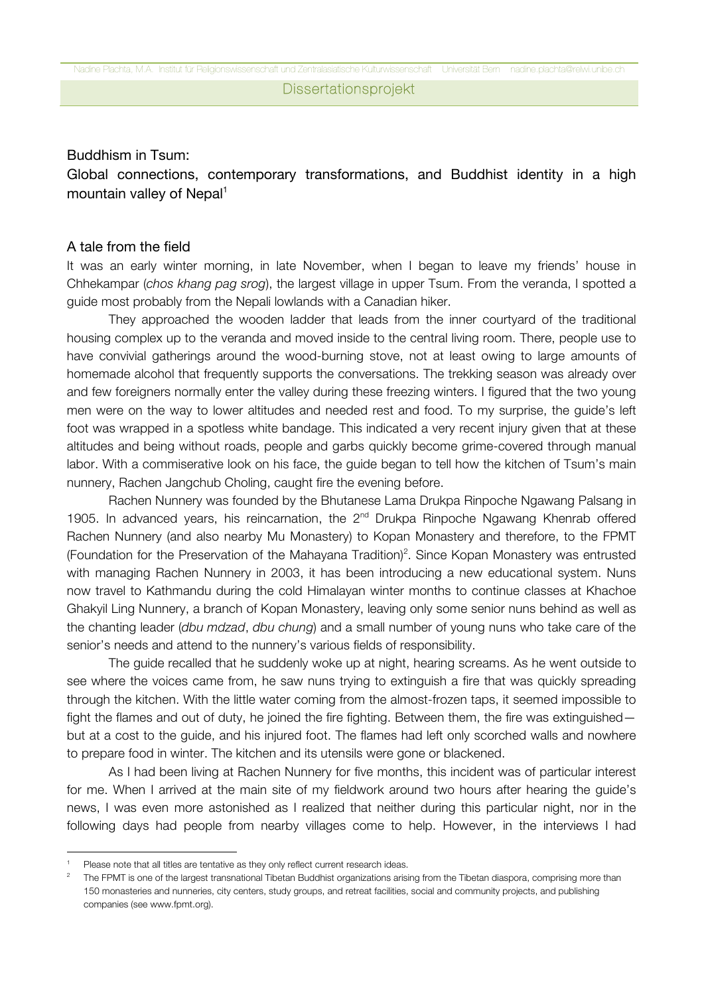### Buddhism in Tsum:

## Global connections, contemporary transformations, and Buddhist identity in a high mountain valley of Nepal $1$

### A tale from the field

It was an early winter morning, in late November, when I began to leave my friends' house in Chhekampar (*chos khang pag srog*), the largest village in upper Tsum. From the veranda, I spotted a guide most probably from the Nepali lowlands with a Canadian hiker.

They approached the wooden ladder that leads from the inner courtyard of the traditional housing complex up to the veranda and moved inside to the central living room. There, people use to have convivial gatherings around the wood-burning stove, not at least owing to large amounts of homemade alcohol that frequently supports the conversations. The trekking season was already over and few foreigners normally enter the valley during these freezing winters. I figured that the two young men were on the way to lower altitudes and needed rest and food. To my surprise, the guide's left foot was wrapped in a spotless white bandage. This indicated a very recent injury given that at these altitudes and being without roads, people and garbs quickly become grime-covered through manual labor. With a commiserative look on his face, the guide began to tell how the kitchen of Tsum's main nunnery, Rachen Jangchub Choling, caught fire the evening before.

Rachen Nunnery was founded by the Bhutanese Lama Drukpa Rinpoche Ngawang Palsang in 1905. In advanced years, his reincarnation, the  $2<sup>nd</sup>$  Drukpa Rinpoche Ngawang Khenrab offered Rachen Nunnery (and also nearby Mu Monastery) to Kopan Monastery and therefore, to the FPMT (Foundation for the Preservation of the Mahayana Tradition)<sup>2</sup>. Since Kopan Monastery was entrusted with managing Rachen Nunnery in 2003, it has been introducing a new educational system. Nuns now travel to Kathmandu during the cold Himalayan winter months to continue classes at Khachoe Ghakyil Ling Nunnery, a branch of Kopan Monastery, leaving only some senior nuns behind as well as the chanting leader (*dbu mdzad*, *dbu chung*) and a small number of young nuns who take care of the senior's needs and attend to the nunnery's various fields of responsibility.

The guide recalled that he suddenly woke up at night, hearing screams. As he went outside to see where the voices came from, he saw nuns trying to extinguish a fire that was quickly spreading through the kitchen. With the little water coming from the almost-frozen taps, it seemed impossible to fight the flames and out of duty, he joined the fire fighting. Between them, the fire was extinguished but at a cost to the guide, and his injured foot. The flames had left only scorched walls and nowhere to prepare food in winter. The kitchen and its utensils were gone or blackened.

As I had been living at Rachen Nunnery for five months, this incident was of particular interest for me. When I arrived at the main site of my fieldwork around two hours after hearing the guide's news, I was even more astonished as I realized that neither during this particular night, nor in the following days had people from nearby villages come to help. However, in the interviews I had

 

Please note that all titles are tentative as they only reflect current research ideas.<br>The FPMT is one of the largest transnational Tibetan Buddhist organizations arising from the Tibetan diaspora, comprising more than 150 monasteries and nunneries, city centers, study groups, and retreat facilities, social and community projects, and publishing companies (see www.fpmt.org).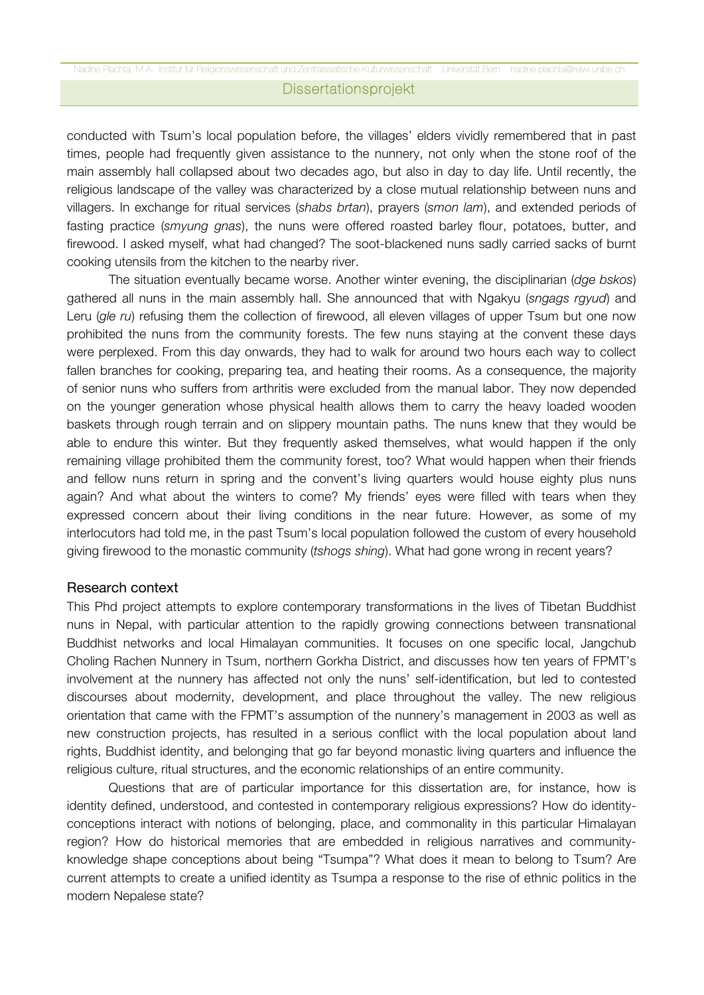conducted with Tsum's local population before, the villages' elders vividly remembered that in past times, people had frequently given assistance to the nunnery, not only when the stone roof of the main assembly hall collapsed about two decades ago, but also in day to day life. Until recently, the religious landscape of the valley was characterized by a close mutual relationship between nuns and villagers. In exchange for ritual services (*shabs brtan*), prayers (*smon lam*), and extended periods of fasting practice (*smyung gnas*), the nuns were offered roasted barley flour, potatoes, butter, and firewood. I asked myself, what had changed? The soot-blackened nuns sadly carried sacks of burnt cooking utensils from the kitchen to the nearby river.

The situation eventually became worse. Another winter evening, the disciplinarian (*dge bskos*) gathered all nuns in the main assembly hall. She announced that with Ngakyu (*sngags rgyud*) and Leru (*gle ru*) refusing them the collection of firewood, all eleven villages of upper Tsum but one now prohibited the nuns from the community forests. The few nuns staying at the convent these days were perplexed. From this day onwards, they had to walk for around two hours each way to collect fallen branches for cooking, preparing tea, and heating their rooms. As a consequence, the majority of senior nuns who suffers from arthritis were excluded from the manual labor. They now depended on the younger generation whose physical health allows them to carry the heavy loaded wooden baskets through rough terrain and on slippery mountain paths. The nuns knew that they would be able to endure this winter. But they frequently asked themselves, what would happen if the only remaining village prohibited them the community forest, too? What would happen when their friends and fellow nuns return in spring and the convent's living quarters would house eighty plus nuns again? And what about the winters to come? My friends' eyes were filled with tears when they expressed concern about their living conditions in the near future. However, as some of my interlocutors had told me, in the past Tsum's local population followed the custom of every household giving firewood to the monastic community (*tshogs shing*). What had gone wrong in recent years?

#### Research context

This Phd project attempts to explore contemporary transformations in the lives of Tibetan Buddhist nuns in Nepal, with particular attention to the rapidly growing connections between transnational Buddhist networks and local Himalayan communities. It focuses on one specific local, Jangchub Choling Rachen Nunnery in Tsum, northern Gorkha District, and discusses how ten years of FPMT's involvement at the nunnery has affected not only the nuns' self-identification, but led to contested discourses about modernity, development, and place throughout the valley. The new religious orientation that came with the FPMT's assumption of the nunnery's management in 2003 as well as new construction projects, has resulted in a serious conflict with the local population about land rights, Buddhist identity, and belonging that go far beyond monastic living quarters and influence the religious culture, ritual structures, and the economic relationships of an entire community.

Questions that are of particular importance for this dissertation are, for instance, how is identity defined, understood, and contested in contemporary religious expressions? How do identityconceptions interact with notions of belonging, place, and commonality in this particular Himalayan region? How do historical memories that are embedded in religious narratives and communityknowledge shape conceptions about being "Tsumpa"? What does it mean to belong to Tsum? Are current attempts to create a unified identity as Tsumpa a response to the rise of ethnic politics in the modern Nepalese state?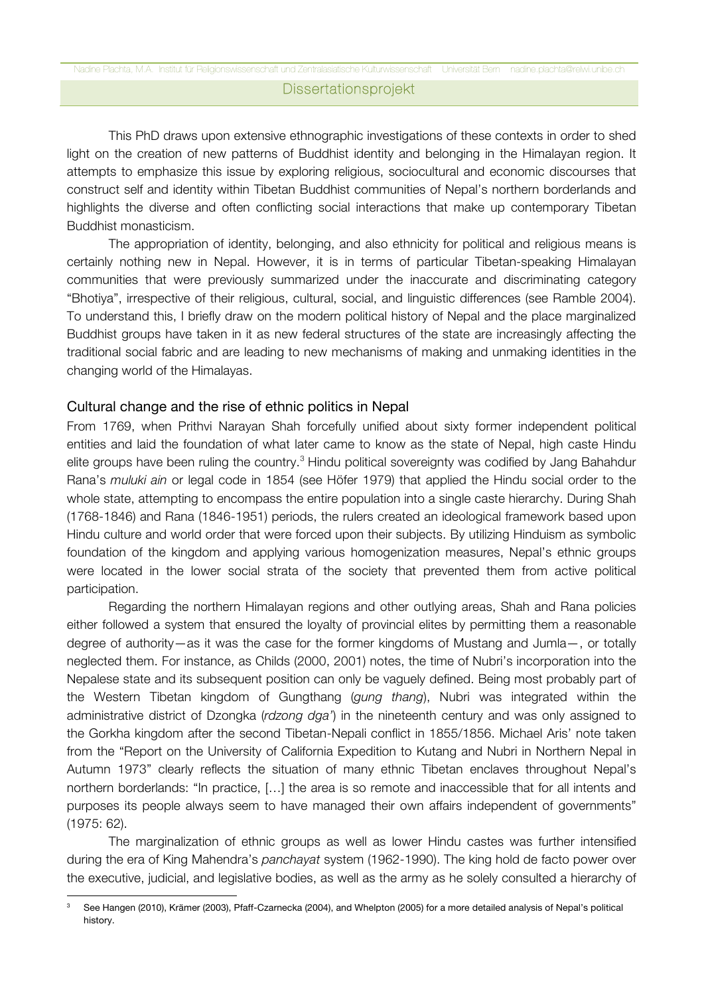### Dissertationsprojekt

This PhD draws upon extensive ethnographic investigations of these contexts in order to shed light on the creation of new patterns of Buddhist identity and belonging in the Himalayan region. It attempts to emphasize this issue by exploring religious, sociocultural and economic discourses that construct self and identity within Tibetan Buddhist communities of Nepal's northern borderlands and highlights the diverse and often conflicting social interactions that make up contemporary Tibetan Buddhist monasticism.

The appropriation of identity, belonging, and also ethnicity for political and religious means is certainly nothing new in Nepal. However, it is in terms of particular Tibetan-speaking Himalayan communities that were previously summarized under the inaccurate and discriminating category "Bhotiya", irrespective of their religious, cultural, social, and linguistic differences (see Ramble 2004). To understand this, I briefly draw on the modern political history of Nepal and the place marginalized Buddhist groups have taken in it as new federal structures of the state are increasingly affecting the traditional social fabric and are leading to new mechanisms of making and unmaking identities in the changing world of the Himalayas.

### Cultural change and the rise of ethnic politics in Nepal

From 1769, when Prithvi Narayan Shah forcefully unified about sixty former independent political entities and laid the foundation of what later came to know as the state of Nepal, high caste Hindu elite groups have been ruling the country.<sup>3</sup> Hindu political sovereignty was codified by Jang Bahahdur Rana's *muluki ain* or legal code in 1854 (see Höfer 1979) that applied the Hindu social order to the whole state, attempting to encompass the entire population into a single caste hierarchy. During Shah (1768-1846) and Rana (1846-1951) periods, the rulers created an ideological framework based upon Hindu culture and world order that were forced upon their subjects. By utilizing Hinduism as symbolic foundation of the kingdom and applying various homogenization measures, Nepal's ethnic groups were located in the lower social strata of the society that prevented them from active political participation.

Regarding the northern Himalayan regions and other outlying areas, Shah and Rana policies either followed a system that ensured the loyalty of provincial elites by permitting them a reasonable degree of authority—as it was the case for the former kingdoms of Mustang and Jumla—, or totally neglected them. For instance, as Childs (2000, 2001) notes, the time of Nubri's incorporation into the Nepalese state and its subsequent position can only be vaguely defined. Being most probably part of the Western Tibetan kingdom of Gungthang (*gung thang*), Nubri was integrated within the administrative district of Dzongka (*rdzong dga'*) in the nineteenth century and was only assigned to the Gorkha kingdom after the second Tibetan-Nepali conflict in 1855/1856. Michael Aris' note taken from the "Report on the University of California Expedition to Kutang and Nubri in Northern Nepal in Autumn 1973" clearly reflects the situation of many ethnic Tibetan enclaves throughout Nepal's northern borderlands: "In practice, […] the area is so remote and inaccessible that for all intents and purposes its people always seem to have managed their own affairs independent of governments" (1975: 62).

The marginalization of ethnic groups as well as lower Hindu castes was further intensified during the era of King Mahendra's *panchayat* system (1962-1990). The king hold de facto power over the executive, judicial, and legislative bodies, as well as the army as he solely consulted a hierarchy of

 See Hangen (2010), Krämer (2003), Pfaff-Czarnecka (2004), and Whelpton (2005) for a more detailed analysis of Nepal's political history.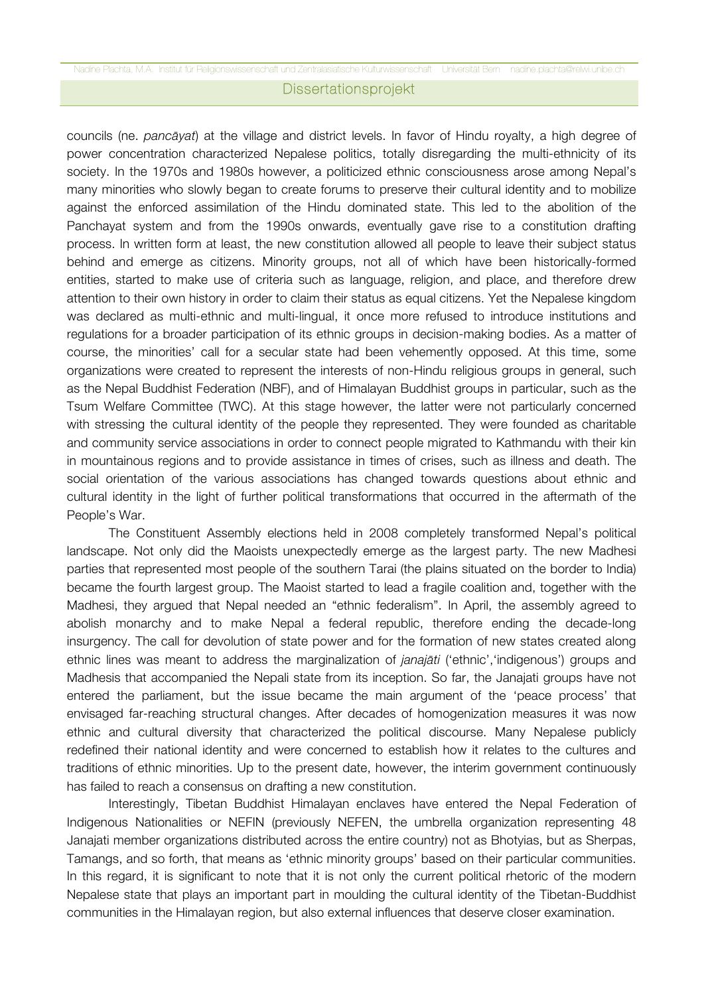#### Nadine Plachta, M.A. Institut für Religionswissenschaft und Zentralasiatische Kulturwissenschaft Universität Bern nadine.plachta@relwi.unibe.ch Dissertationsprojekt

councils (ne. *pancāyat*) at the village and district levels. In favor of Hindu royalty, a high degree of power concentration characterized Nepalese politics, totally disregarding the multi-ethnicity of its society. In the 1970s and 1980s however, a politicized ethnic consciousness arose among Nepal's many minorities who slowly began to create forums to preserve their cultural identity and to mobilize against the enforced assimilation of the Hindu dominated state. This led to the abolition of the Panchayat system and from the 1990s onwards, eventually gave rise to a constitution drafting process. In written form at least, the new constitution allowed all people to leave their subject status behind and emerge as citizens. Minority groups, not all of which have been historically-formed entities, started to make use of criteria such as language, religion, and place, and therefore drew attention to their own history in order to claim their status as equal citizens. Yet the Nepalese kingdom was declared as multi-ethnic and multi-lingual, it once more refused to introduce institutions and regulations for a broader participation of its ethnic groups in decision-making bodies. As a matter of course, the minorities' call for a secular state had been vehemently opposed. At this time, some organizations were created to represent the interests of non-Hindu religious groups in general, such as the Nepal Buddhist Federation (NBF), and of Himalayan Buddhist groups in particular, such as the Tsum Welfare Committee (TWC). At this stage however, the latter were not particularly concerned with stressing the cultural identity of the people they represented. They were founded as charitable and community service associations in order to connect people migrated to Kathmandu with their kin in mountainous regions and to provide assistance in times of crises, such as illness and death. The social orientation of the various associations has changed towards questions about ethnic and cultural identity in the light of further political transformations that occurred in the aftermath of the People's War.

The Constituent Assembly elections held in 2008 completely transformed Nepal's political landscape. Not only did the Maoists unexpectedly emerge as the largest party. The new Madhesi parties that represented most people of the southern Tarai (the plains situated on the border to India) became the fourth largest group. The Maoist started to lead a fragile coalition and, together with the Madhesi, they argued that Nepal needed an "ethnic federalism". In April, the assembly agreed to abolish monarchy and to make Nepal a federal republic, therefore ending the decade-long insurgency. The call for devolution of state power and for the formation of new states created along ethnic lines was meant to address the marginalization of *janajāti* ('ethnic','indigenous') groups and Madhesis that accompanied the Nepali state from its inception. So far, the Janajati groups have not entered the parliament, but the issue became the main argument of the 'peace process' that envisaged far-reaching structural changes. After decades of homogenization measures it was now ethnic and cultural diversity that characterized the political discourse. Many Nepalese publicly redefined their national identity and were concerned to establish how it relates to the cultures and traditions of ethnic minorities. Up to the present date, however, the interim government continuously has failed to reach a consensus on drafting a new constitution.

Interestingly, Tibetan Buddhist Himalayan enclaves have entered the Nepal Federation of Indigenous Nationalities or NEFIN (previously NEFEN, the umbrella organization representing 48 Janajati member organizations distributed across the entire country) not as Bhotyias, but as Sherpas, Tamangs, and so forth, that means as 'ethnic minority groups' based on their particular communities. In this regard, it is significant to note that it is not only the current political rhetoric of the modern Nepalese state that plays an important part in moulding the cultural identity of the Tibetan-Buddhist communities in the Himalayan region, but also external influences that deserve closer examination.